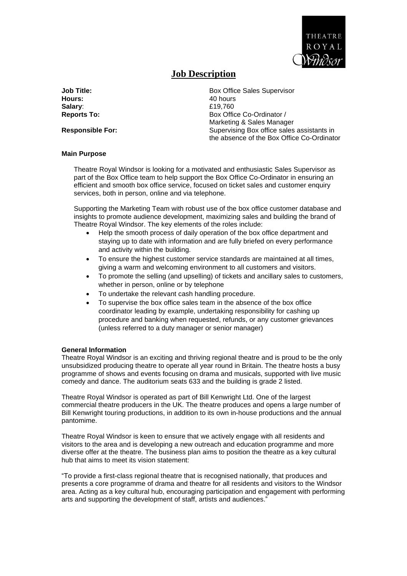

# **Job Description**

**Hours:** 40 hours<br> **Salary:** 40 hours<br> **Salary:** 519.760

**Job Title:** Box Office Sales Supervisor<br> **Hours:** 40 hours **Salary**: £19,760 **Reports To:** Box Office Co-Ordinator / Marketing & Sales Manager **Responsible For:** The Supervising Box office sales assistants in the absence of the Box Office Co-Ordinator

#### **Main Purpose**

Theatre Royal Windsor is looking for a motivated and enthusiastic Sales Supervisor as part of the Box Office team to help support the Box Office Co-Ordinator in ensuring an efficient and smooth box office service, focused on ticket sales and customer enquiry services, both in person, online and via telephone.

Supporting the Marketing Team with robust use of the box office customer database and insights to promote audience development, maximizing sales and building the brand of Theatre Royal Windsor. The key elements of the roles include:

- Help the smooth process of daily operation of the box office department and staying up to date with information and are fully briefed on every performance and activity within the building.
- To ensure the highest customer service standards are maintained at all times, giving a warm and welcoming environment to all customers and visitors.
- To promote the selling (and upselling) of tickets and ancillary sales to customers, whether in person, online or by telephone
- To undertake the relevant cash handling procedure.
- To supervise the box office sales team in the absence of the box office coordinator leading by example, undertaking responsibility for cashing up procedure and banking when requested, refunds, or any customer grievances (unless referred to a duty manager or senior manager)

#### **General Information**

Theatre Royal Windsor is an exciting and thriving regional theatre and is proud to be the only unsubsidized producing theatre to operate all year round in Britain. The theatre hosts a busy programme of shows and events focusing on drama and musicals, supported with live music comedy and dance. The auditorium seats 633 and the building is grade 2 listed.

Theatre Royal Windsor is operated as part of Bill Kenwright Ltd. One of the largest commercial theatre producers in the UK. The theatre produces and opens a large number of Bill Kenwright touring productions, in addition to its own in-house productions and the annual pantomime.

Theatre Royal Windsor is keen to ensure that we actively engage with all residents and visitors to the area and is developing a new outreach and education programme and more diverse offer at the theatre. The business plan aims to position the theatre as a key cultural hub that aims to meet its vision statement:

"To provide a first-class regional theatre that is recognised nationally, that produces and presents a core programme of drama and theatre for all residents and visitors to the Windsor area. Acting as a key cultural hub, encouraging participation and engagement with performing arts and supporting the development of staff, artists and audiences."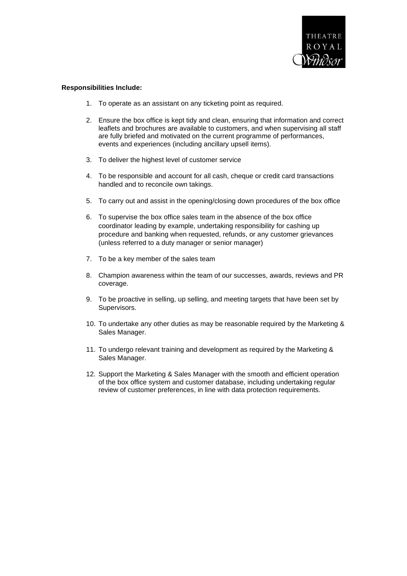

#### **Responsibilities Include:**

- 1. To operate as an assistant on any ticketing point as required.
- 2. Ensure the box office is kept tidy and clean, ensuring that information and correct leaflets and brochures are available to customers, and when supervising all staff are fully briefed and motivated on the current programme of performances, events and experiences (including ancillary upsell items).
- 3. To deliver the highest level of customer service
- 4. To be responsible and account for all cash, cheque or credit card transactions handled and to reconcile own takings.
- 5. To carry out and assist in the opening/closing down procedures of the box office
- 6. To supervise the box office sales team in the absence of the box office coordinator leading by example, undertaking responsibility for cashing up procedure and banking when requested, refunds, or any customer grievances (unless referred to a duty manager or senior manager)
- 7. To be a key member of the sales team
- 8. Champion awareness within the team of our successes, awards, reviews and PR coverage.
- 9. To be proactive in selling, up selling, and meeting targets that have been set by Supervisors.
- 10. To undertake any other duties as may be reasonable required by the Marketing & Sales Manager.
- 11. To undergo relevant training and development as required by the Marketing & Sales Manager.
- 12. Support the Marketing & Sales Manager with the smooth and efficient operation of the box office system and customer database, including undertaking regular review of customer preferences, in line with data protection requirements.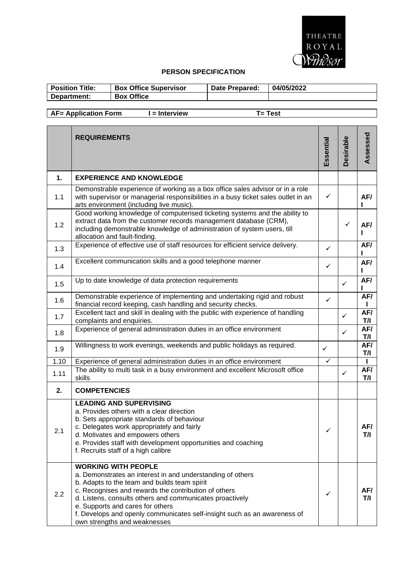

### **PERSON SPECIFICATION**

| <b>Position Title:</b> | <b>Box Office Supervisor</b> | Date Prepared: | 04/05/2022 |
|------------------------|------------------------------|----------------|------------|
| Department:            | <b>Box Office</b>            |                |            |

## **AF= Application Form I = Interview T= Test**

|               | <b>REQUIREMENTS</b>                                                                                                                                                                                                                                                                                                                                                                                          | Essential    | <b>Desirable</b> | Assessed   |
|---------------|--------------------------------------------------------------------------------------------------------------------------------------------------------------------------------------------------------------------------------------------------------------------------------------------------------------------------------------------------------------------------------------------------------------|--------------|------------------|------------|
| $\mathbf 1$ . | <b>EXPERIENCE AND KNOWLEDGE</b>                                                                                                                                                                                                                                                                                                                                                                              |              |                  |            |
| 1.1           | Demonstrable experience of working as a box office sales advisor or in a role<br>with supervisor or managerial responsibilities in a busy ticket sales outlet in an<br>arts environment (including live music).                                                                                                                                                                                              | $\checkmark$ |                  | AF/        |
| 1.2           | Good working knowledge of computerised ticketing systems and the ability to<br>extract data from the customer records management database (CRM),<br>including demonstrable knowledge of administration of system users, till<br>allocation and fault-finding.                                                                                                                                                |              | ✓                | AF/        |
| 1.3           | Experience of effective use of staff resources for efficient service delivery.                                                                                                                                                                                                                                                                                                                               | ✓            |                  | AF/        |
| 1.4           | Excellent communication skills and a good telephone manner                                                                                                                                                                                                                                                                                                                                                   | ✓            |                  | AF/        |
| 1.5           | Up to date knowledge of data protection requirements                                                                                                                                                                                                                                                                                                                                                         |              | $\checkmark$     | AF/        |
| 1.6           | Demonstrable experience of implementing and undertaking rigid and robust<br>financial record keeping, cash handling and security checks.                                                                                                                                                                                                                                                                     | $\checkmark$ |                  | AF/        |
| 1.7           | Excellent tact and skill in dealing with the public with experience of handling<br>complaints and enquiries.                                                                                                                                                                                                                                                                                                 |              | $\checkmark$     | AF/<br>T/I |
| 1.8           | Experience of general administration duties in an office environment                                                                                                                                                                                                                                                                                                                                         |              | $\checkmark$     | AF/<br>T/I |
| 1.9           | Willingness to work evenings, weekends and public holidays as required.                                                                                                                                                                                                                                                                                                                                      | $\checkmark$ |                  | AF/<br>T/I |
| 1.10          | Experience of general administration duties in an office environment                                                                                                                                                                                                                                                                                                                                         | $\checkmark$ |                  |            |
| 1.11          | The ability to multi task in a busy environment and excellent Microsoft office<br>skills                                                                                                                                                                                                                                                                                                                     |              | $\checkmark$     | AF/<br>T/I |
| 2.            | <b>COMPETENCIES</b>                                                                                                                                                                                                                                                                                                                                                                                          |              |                  |            |
| 2.1           | <b>LEADING AND SUPERVISING</b><br>a. Provides others with a clear direction<br>b. Sets appropriate standards of behaviour<br>c. Delegates work appropriately and fairly<br>d. Motivates and empowers others<br>e. Provides staff with development opportunities and coaching<br>f. Recruits staff of a high calibre                                                                                          | ✓            |                  | AF/<br>171 |
| 2.2           | <b>WORKING WITH PEOPLE</b><br>a. Demonstrates an interest in and understanding of others<br>b. Adapts to the team and builds team spirit<br>c. Recognises and rewards the contribution of others<br>d. Listens, consults others and communicates proactively<br>e. Supports and cares for others<br>f. Develops and openly communicates self-insight such as an awareness of<br>own strengths and weaknesses |              |                  | AF/<br>T/I |